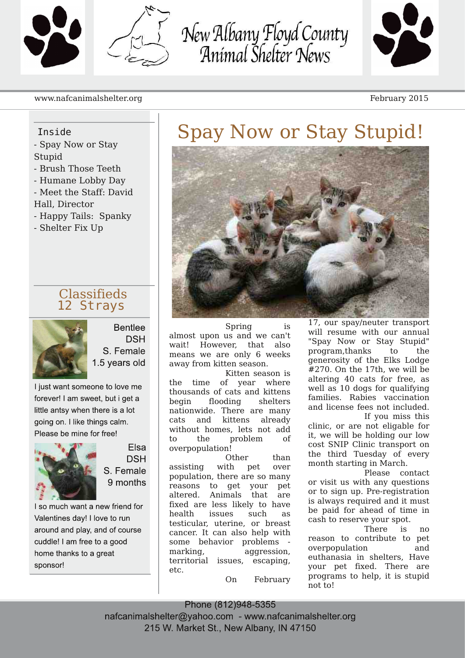

New Albany Floyd County<br>Animal Shelter News



#### www.nafcanimalshelter.org February 2015

#### Inside

- Spay Now or Stay Stupid
- Brush Those Teeth
- Humane Lobby Day
- Meet the Staff: David
- Hall, Director
- Happy Tails: Spanky
- Shelter Fix Up

### Classifieds 12 Strays



**Bentlee DSH** S. Female 1.5 years old

I just want someone to love me forever! I am sweet, but i get a little antsy when there is a lot going on. I like things calm. Please be mine for free!



Elsa **DSH** S. Female 9 months

I so much want a new friend for Valentines day! I love to run around and play, and of course cuddle! I am free to a good home thanks to a great sponsor!

## Spay Now or Stay Stupid!



Spring is almost upon us and we can't wait! However, that also means we are only 6 weeks away from kitten season.

Kitten season is the time of year where thousands of cats and kittens begin flooding shelters nationwide. There are many cats and kittens already without homes, lets not add to the problem of overpopulation!

Other than assisting with pet over population, there are so many reasons to get your pet altered. Animals that are fixed are less likely to have health issues such as testicular, uterine, or breast cancer. It can also help with some behavior problems marking, aggression, territorial issues, escaping, etc.

On February

17, our spay/neuter transport will resume with our annual "Spay Now or Stay Stupid" program,thanks to the generosity of the Elks Lodge #270. On the 17th, we will be altering 40 cats for free, as well as 10 dogs for qualifying families. Rabies vaccination and license fees not included. If you miss this

clinic, or are not eligable for it, we will be holding our low cost SNIP Clinic transport on the third Tuesday of every month starting in March.

Please contact or visit us with any questions or to sign up. Pre-registration is always required and it must be paid for ahead of time in cash to reserve your spot.

There is no reason to contribute to pet overpopulation and euthanasia in shelters, Have your pet fixed. There are programs to help, it is stupid not to!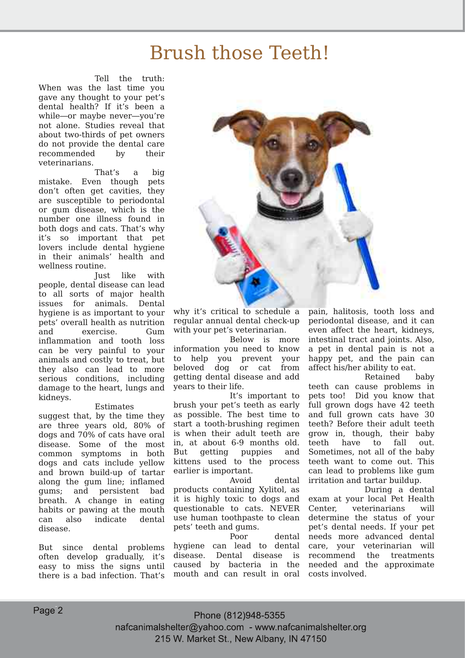### Brush those Teeth!

Tell the truth: When was the last time you gave any thought to your pet's dental health? If it's been a while—or maybe never—you're not alone. Studies reveal that about two-thirds of pet owners do not provide the dental care recommended by their veterinarians.

That's a big mistake. Even though pets don't often get cavities, they are susceptible to periodontal or gum disease, which is the number one illness found in both dogs and cats. That's why it's so important that pet lovers include dental hygiene in their animals' health and wellness routine.

Just like with people, dental disease can lead to all sorts of major health issues for animals. Dental hygiene is as important to your pets' overall health as nutrition and exercise. Gum inflammation and tooth loss can be very painful to your animals and costly to treat, but they also can lead to more serious conditions, including damage to the heart, lungs and kidneys.

#### Estimates

suggest that, by the time they are three years old, 80% of dogs and 70% of cats have oral disease. Some of the most common symptoms in both dogs and cats include yellow and brown build-up of tartar along the gum line; inflamed gums; and persistent bad breath. A change in eating habits or pawing at the mouth can also indicate dental disease.

But since dental problems often develop gradually, it's easy to miss the signs until there is a bad infection. That's



why it's critical to schedule a regular annual dental check-up with your pet's veterinarian.

Below is more information you need to know to help you prevent your beloved dog or cat from getting dental disease and add years to their life.

It's important to brush your pet's teeth as early as possible. The best time to start a tooth-brushing regimen is when their adult teeth are in, at about 6-9 months old. But getting puppies and kittens used to the process earlier is important.

Avoid dental products containing Xylitol, as it is highly toxic to dogs and questionable to cats. NEVER use human toothpaste to clean pets' teeth and gums.

Poor dental hygiene can lead to dental disease. Dental disease is caused by bacteria in the mouth and can result in oral pain, halitosis, tooth loss and periodontal disease, and it can even affect the heart, kidneys, intestinal tract and joints. Also, a pet in dental pain is not a happy pet, and the pain can affect his/her ability to eat.

Retained baby teeth can cause problems in pets too! Did you know that full grown dogs have 42 teeth and full grown cats have 30 teeth? Before their adult teeth grow in, though, their baby teeth have to fall out. Sometimes, not all of the baby teeth want to come out. This can lead to problems like gum irritation and tartar buildup.

During a dental exam at your local Pet Health Center, veterinarians will determine the status of your pet's dental needs. If your pet needs more advanced dental care, your veterinarian will recommend the treatments needed and the approximate costs involved.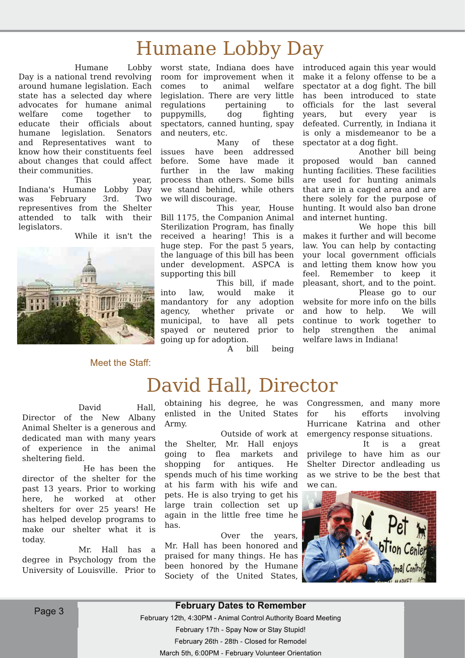### Humane Lobby Day

Humane Lobby Day is a national trend revolving around humane legislation. Each state has a selected day where advocates for humane animal welfare come together to educate their officials about humane legislation. Senators and Representatives want to know how their constituents feel about changes that could affect their communities.

This year, Indiana's Humane Lobby Day was February 3rd. Two representives from the Shelter attended to talk with their legislators.

While it isn't the



#### Meet the Staff:

worst state, Indiana does have room for improvement when it comes to animal welfare legislation. There are very little regulations pertaining to puppymills, dog fighting spectators, canned hunting, spay and neuters, etc.

Many of these issues have been addressed before. Some have made it further in the law making process than others. Some bills we stand behind, while others we will discourage.

This year, House Bill 1175, the Companion Animal Sterilization Program, has finally received a hearing! This is a huge step. For the past 5 years, the language of this bill has been under development. ASPCA is supporting this bill

This bill, if made into law, would make it mandantory for any adoption agency, whether private or municipal, to have all pets spayed or neutered prior to going up for adoption.

introduced again this year would make it a felony offense to be a spectator at a dog fight. The bill has been introduced to state officials for the last several years, but every year is defeated. Currently, in Indiana it is only a misdemeanor to be a spectator at a dog fight.

Another bill being proposed would ban canned hunting facilities. These facilities are used for hunting animals that are in a caged area and are there solely for the purpose of hunting. It would also ban drone and internet hunting.

We hope this bill makes it further and will become law. You can help by contacting your local government officials and letting them know how you feel. Remember to keep it pleasant, short, and to the point. Please go to our website for more info on the bills and how to help. We will continue to work together to help strengthen the animal welfare laws in Indiana!

A bill being

### David Hall, Director

#### David Hall,

Director of the New Albany Animal Shelter is a generous and dedicated man with many years of experience in the animal sheltering field.

He has been the director of the shelter for the past 13 years. Prior to working here, he worked at other shelters for over 25 years! He has helped develop programs to make our shelter what it is today

Mr. Hall has a degree in Psychology from the University of Louisville. Prior to

obtaining his degree, he was Congressmen, and many more enlisted in the United States Army.

the Shelter, Mr. Hall enjoys going to flea markets and shopping for antiques. He spends much of his time working at his farm with his wife and pets. He is also trying to get his large train collection set up again in the little free time he has.

Over the years, Mr. Hall has been honored and praised for many things. He has been honored by the Humane Society of the United States,

Outside of work at emergency response situations. for his efforts involving Hurricane Katrina and other

> It is a great privilege to have him as our Shelter Director andleading us as we strive to be the best that we can.



Page 3 and 1 million to the contract of the contract of the contract of the contract of the contract of the contract of the contract of the contract of the contract of the contract of the contract of the contract of the co February 17th - Spay Now or Stay Stupid! February 26th - 28th - Closed for Remodel March 5th, 6:00PM - February Volunteer Orientation